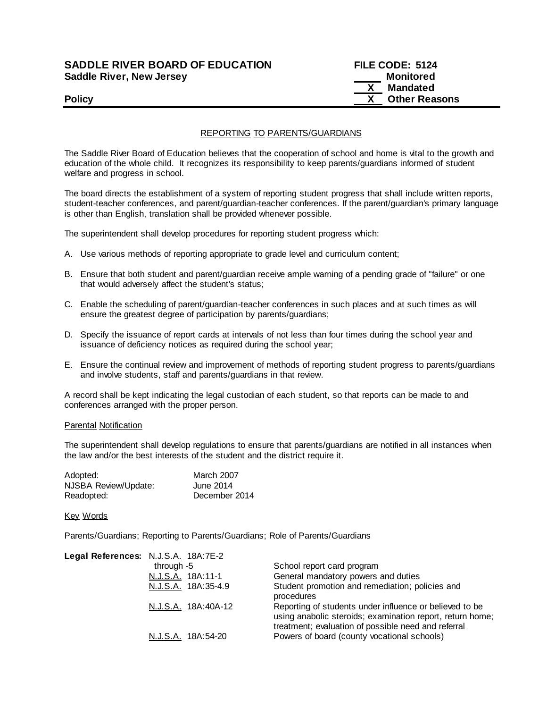### **SADDLE RIVER BOARD OF EDUCATION FILE CODE: 5124 Saddle River, New Jersey Monitored Example 2018 19 No. 2018 19:30 Monitored**

# **X Mandated Policy COLLEGENS Policy COLLEGENS COLLEGENS COLLEGENS X Other Reasons**

#### REPORTING TO PARENTS/GUARDIANS

The Saddle River Board of Education believes that the cooperation of school and home is vital to the growth and education of the whole child. It recognizes its responsibility to keep parents/guardians informed of student welfare and progress in school.

The board directs the establishment of a system of reporting student progress that shall include written reports, student-teacher conferences, and parent/guardian-teacher conferences. If the parent/guardian's primary language is other than English, translation shall be provided whenever possible.

The superintendent shall develop procedures for reporting student progress which:

- A. Use various methods of reporting appropriate to grade level and curriculum content;
- B. Ensure that both student and parent/guardian receive ample warning of a pending grade of "failure" or one that would adversely affect the student's status;
- C. Enable the scheduling of parent/guardian-teacher conferences in such places and at such times as will ensure the greatest degree of participation by parents/guardians;
- D. Specify the issuance of report cards at intervals of not less than four times during the school year and issuance of deficiency notices as required during the school year;
- E. Ensure the continual review and improvement of methods of reporting student progress to parents/guardians and involve students, staff and parents/guardians in that review.

A record shall be kept indicating the legal custodian of each student, so that reports can be made to and conferences arranged with the proper person.

#### Parental Notification

The superintendent shall develop regulations to ensure that parents/guardians are notified in all instances when the law and/or the best interests of the student and the district require it.

| Adopted:             | <b>March 2007</b> |
|----------------------|-------------------|
| NJSBA Review/Update: | June 2014         |
| Readopted:           | December 2014     |

Key Words

Parents/Guardians; Reporting to Parents/Guardians; Role of Parents/Guardians

| Legal References: N.J.S.A. 18A:7E-2 |                     |                                                                                                                                                                             |
|-------------------------------------|---------------------|-----------------------------------------------------------------------------------------------------------------------------------------------------------------------------|
|                                     | through -5          | School report card program                                                                                                                                                  |
|                                     | N.J.S.A. 18A:11-1   | General mandatory powers and duties                                                                                                                                         |
|                                     | N.J.S.A. 18A:35-4.9 | Student promotion and remediation; policies and<br>procedures                                                                                                               |
|                                     | N.J.S.A. 18A:40A-12 | Reporting of students under influence or believed to be<br>using anabolic steroids; examination report, return home;<br>treatment; evaluation of possible need and referral |
|                                     | N.J.S.A. 18A:54-20  | Powers of board (county vocational schools)                                                                                                                                 |